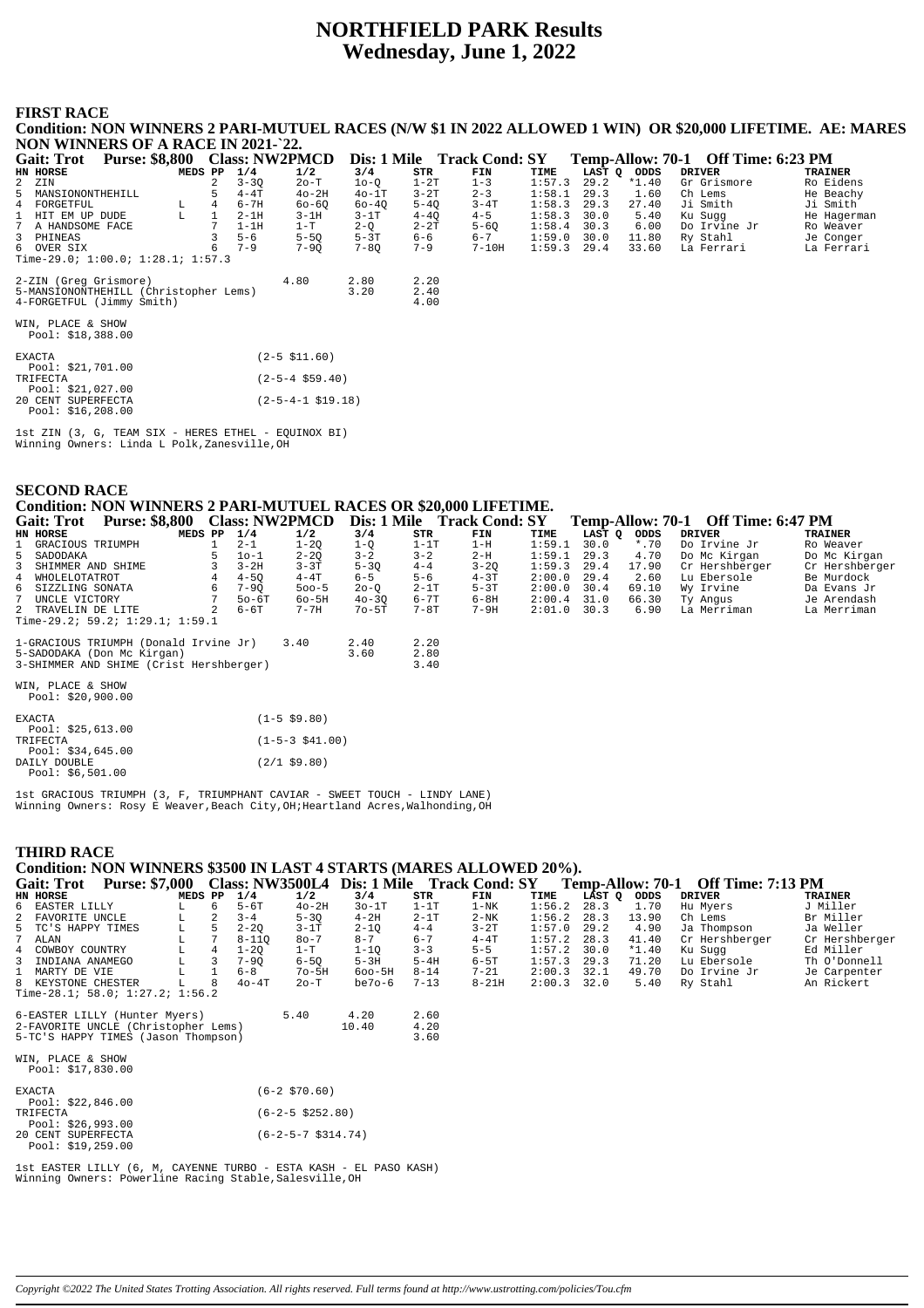# **NORTHFIELD PARK Results Wednesday, June 1, 2022**

#### **FIRST RACE**

**Condition: NON WINNERS 2 PARI-MUTUEL RACES (N/W \$1 IN 2022 ALLOWED 1 WIN) OR \$20,000 LIFETIME. AE: MARES NON WINNERS OF A RACE IN 2021-`22.**

| <b>Gait: Trot</b>                       | <b>Purse: \$8,800</b>                                   |         |   |          | <b>Class: NW2PMCD</b>  |          |          | Dis: 1 Mile Track Cond: SY |        |      |             | Temp-Allow: 70-1 Off Time: 6:23 PM |             |
|-----------------------------------------|---------------------------------------------------------|---------|---|----------|------------------------|----------|----------|----------------------------|--------|------|-------------|------------------------------------|-------------|
| HN HORSE                                |                                                         | MEDS PP |   | 1/4      | 1/2                    | 3/4      | STR      | FIN                        | TIME   |      | LAST Q ODDS | <b>DRIVER</b>                      | TRAINER     |
| 2 ZIN                                   |                                                         |         |   | $3 - 30$ | $2o-T$                 | $10-0$   | $1-2T$   | $1 - 3$                    | 1:57.3 | 29.2 | $*1.40$     | Gr Grismore                        | Ro Eidens   |
| 5 MANSIONONTHEHILL                      |                                                         |         |   | $4-4T$   | $40-2H$                | $40-1T$  | $3 - 2T$ | $2 - 3$                    | 1:58.1 | 29.3 | 1.60        | Ch Lems                            | He Beachy   |
| 4 FORGETFUL                             |                                                         | L       | 4 | $6 - 7H$ | $60 - 60$              | 60-40    | $5 - 40$ | $3 - 4T$                   | 1:58.3 | 29.3 | 27.40       | Ji Smith                           | Ji Smith    |
| 1 HIT EM UP DUDE                        |                                                         | L       |   | $2-1H$   | $3-1H$                 | $3-1T$   | $4 - 40$ | $4 - 5$                    | 1:58.3 | 30.0 | 5.40        | Ku Sugg                            | He Hagerman |
| 7 A HANDSOME FACE                       |                                                         |         |   | $1-1H$   | $1-T$                  | $2-Q$    | $2 - 2T$ | $5 - 60$                   | 1:58.4 | 30.3 | 6.00        | Do Irvine Jr                       | Ro Weaver   |
| 3 PHINEAS                               |                                                         |         |   | $5 - 6$  | $5 - 50$               | $5-3T$   | 6-6      | $6 - 7$                    | 1:59.0 | 30.0 | 11.80       | Ry Stahl                           | Je Conger   |
| 6 OVER SIX                              |                                                         |         |   | $7 - 9$  | $7 - 90$               | $7 - 80$ | $7 - 9$  | $7-10H$                    | 1:59.3 | 29.4 | 33.60       | La Ferrari                         | La Ferrari  |
| Time-29.0; $1:00.0; 1:28.1; 1:57.3$     |                                                         |         |   |          |                        |          |          |                            |        |      |             |                                    |             |
| 2-ZIN (Greg Grismore)                   |                                                         |         |   |          | 4.80                   | 2.80     | 2.20     |                            |        |      |             |                                    |             |
| 5-MANSIONONTHEHILL (Christopher Lems)   |                                                         |         |   |          |                        | 3.20     | 2.40     |                            |        |      |             |                                    |             |
| 4-FORGETFUL (Jimmy Smith)               |                                                         |         |   |          |                        |          | 4.00     |                            |        |      |             |                                    |             |
| WIN, PLACE & SHOW<br>Pool: \$18,388.00  |                                                         |         |   |          |                        |          |          |                            |        |      |             |                                    |             |
| <b>EXACTA</b>                           |                                                         |         |   |          | $(2-5 \; $11.60)$      |          |          |                            |        |      |             |                                    |             |
| Pool: \$21,701.00                       |                                                         |         |   |          |                        |          |          |                            |        |      |             |                                    |             |
| TRIFECTA<br>Pool: \$21,027.00           |                                                         |         |   |          | $(2 - 5 - 4 \ $59.40)$ |          |          |                            |        |      |             |                                    |             |
| 20 CENT SUPERFECTA<br>Pool: \$16,208.00 |                                                         |         |   |          | $(2-5-4-1 \; $19.18)$  |          |          |                            |        |      |             |                                    |             |
|                                         | $1st$ ZIN $(3, G, TFAM$ SIX - HERES ETHEL - EQUINOX BI) |         |   |          |                        |          |          |                            |        |      |             |                                    |             |

1st ZIN (3, G, TEAM SIX - HERES ETHEL - EQUINOX BI) Winning Owners: Linda L Polk,Zanesville,OH

| SECUND KACE                                                                                                    |                      |                                      |          |                |         |                                    |                |
|----------------------------------------------------------------------------------------------------------------|----------------------|--------------------------------------|----------|----------------|---------|------------------------------------|----------------|
| Condition: NON WINNERS 2 PARI-MUTUEL RACES OR \$20,000 LIFETIME.                                               |                      |                                      |          |                |         |                                    |                |
| Purse: \$8,800 Class: NW2PMCD Dis: 1 Mile Track Cond: SY<br><b>Gait: Trot</b>                                  |                      |                                      |          |                |         | Temp-Allow: 70-1 Off Time: 6:47 PM |                |
| MEDS PP<br>HN HORSE                                                                                            | 1/4<br>1/2           | 3/4<br>STR                           | FIN      | TIME<br>LAST Q | ODDS    | <b>DRIVER</b>                      | <b>TRAINER</b> |
| GRACIOUS TRIUMPH                                                                                               | $2 - 1$<br>$1 - 20$  | $1-1T$<br>$1-Q$                      | $1-H$    | 1:59.1<br>30.0 | $*$ .70 | Do Irvine Jr                       | Ro Weaver      |
| SADODAKA                                                                                                       | $2 - 2Q$<br>$10-1$   | $3 - 2$<br>$3 - 2$                   | $2-H$    | 1:59.1<br>29.3 | 4.70    | Do Mc Kirgan                       | Do Mc Kirgan   |
| 3<br>SHIMMER AND SHIME                                                                                         | $3 - 3T$<br>$3-2H$   | $5 - 3Q$<br>$4 - 4$                  | $3 - 20$ | 1:59.3<br>29.4 | 17.90   | Cr Hershberger                     | Cr Hershberger |
| WHOLELOTATROT<br>$\overline{4}$                                                                                | $4 - 4T$<br>$4 - 50$ | $5 - 6$<br>$6 - 5$                   | $4-3T$   | 2:00.0<br>29.4 | 2.60    | Lu Ebersole                        | Be Murdock     |
| 6<br>6<br>SIZZLING SONATA                                                                                      | 7-9Q<br>$500-5$      | $2-1T$<br>$2o-Q$                     | $5-3T$   | 2:00.0<br>30.4 | 69.10   | Wy Irvine                          | Da Evans Jr    |
| UNCLE VICTORY                                                                                                  | $50-6T$<br>$60-5H$   | $6 - 7T$<br>$40 - 3Q$                | $6-8H$   | 2:00.4<br>31.0 | 66.30   | Ty Angus                           | Je Arendash    |
| 2 TRAVELIN DE LITE                                                                                             | $6-6T$<br>$7 - 7H$   | $7-8T$<br>$7o-5T$                    | $7 - 9H$ | 2:01.0<br>30.3 | 6.90    | La Merriman                        | La Merriman    |
| Time-29.2; 59.2; $1:29.1$ ; $1:59.1$                                                                           |                      |                                      |          |                |         |                                    |                |
| 1-GRACIOUS TRIUMPH (Donald Irvine Jr)<br>5-SADODAKA (Don Mc Kirgan)<br>3-SHIMMER AND SHIME (Crist Hershberger) | 3.40                 | 2.20<br>2.40<br>2.80<br>3.60<br>3.40 |          |                |         |                                    |                |
| WIN, PLACE & SHOW<br>Pool: $$20,900.00$                                                                        |                      |                                      |          |                |         |                                    |                |
| <b>EXACTA</b><br>Pool: $$25,613.00$                                                                            | $(1 - 5 \ $9.80)$    |                                      |          |                |         |                                    |                |
| TRIFECTA<br>Pool: $$34,645.00$                                                                                 | $(1-5-3 \; $41.00)$  |                                      |          |                |         |                                    |                |
| DAILY DOUBLE<br>Pool: $$6,501.00$                                                                              | $(2/1$ \$9.80)       |                                      |          |                |         |                                    |                |

1st GRACIOUS TRIUMPH (3, F, TRIUMPHANT CAVIAR - SWEET TOUCH - LINDY LANE) Winning Owners: Rosy E Weaver,Beach City,OH;Heartland Acres,Walhonding,OH

## **THIRD RACE**

**SECOND RACE**

**Condition: NON WINNERS \$3500 IN LAST 4 STARTS (MARES ALLOWED 20%).**

**Gait: Trot Purse: \$7,000 Class: NW3500L4 Dis: 1 Mile Track Cond: SY Temp-Allow: 70-1 Off Time: 7:13 PM**

| HN HORSE                        | MEDS PP |    | 1/4       | 1/2      | 3/4        | STR      | FIN       | TIME          | LAST O | ODDS    | <b>DRIVER</b>  | <b>TRAINER</b> |
|---------------------------------|---------|----|-----------|----------|------------|----------|-----------|---------------|--------|---------|----------------|----------------|
| 6 EASTER LILLY                  |         | 6. | 5-6T      | $40-2H$  | $30-1T$    | $1-1T$   | $1 - NK$  | 1:56.2        | 28.3   | 1.70    | Hu Mvers       | J Miller       |
| 2 FAVORITE UNCLE                |         |    | $3 - 4$   | $5 - 30$ | $4-2H$     | $2-1T$   | $2-NK$    | $1:56.2$ 28.3 |        | 13.90   | Ch Lems        | Br Miller      |
| 5 TC'S HAPPY TIMES              |         |    | $2 - 20$  | $3-1T$   | $2 - 10$   | $4 - 4$  | $3-2T$    | 1:57.0        | 29.2   | 4.90    | Ja Thompson    | Ja Weller      |
| 7 ALAN                          |         |    | $8 - 110$ | $80 - 7$ | $8 - 7$    | $6 - 7$  | $4 - 4T$  | $1:57.2$ 28.3 |        | 41.40   | Cr Hershberger | Cr Hershberger |
| 4 COWBOY COUNTRY                |         |    | $1 - 20$  | $1 - T$  | 1-10       | $3 - 3$  | $5 - 5$   | $1:57.2$ 30.0 |        | $*1.40$ | Ku Suqq        | Ed Miller      |
| 3 INDIANA ANAMEGO               |         |    | $7 - 90$  | $6 - 50$ | $5-3H$     | $5-4H$   | $6-5T$    | 1:57.3        | 29.3   | 71.20   | Lu Ebersole    | Th O'Donnell   |
| 1 MARTY DE VIE                  |         |    | $6 - 8$   | $7o-5H$  | $600 - 5H$ | $8 - 14$ | $7 - 21$  | 2:00.3        | 32.1   | 49.70   | Do Irvine Jr   | Je Carpenter   |
| 8 KEYSTONE CHESTER              | L.      | 8  | $40 - 4T$ | $2o-T$   | $be7o-6$   | $7 - 13$ | $8 - 21H$ | 2:00.3        | 32.0   | 5.40    | Ry Stahl       | An Rickert     |
| Time-28.1; 58.0; 1:27.2; 1:56.2 |         |    |           |          |            |          |           |               |        |         |                |                |

| 6-EASTER LILLY (Hunter Myers)                                              | 5.40                           | 4.20  | 2.60         |
|----------------------------------------------------------------------------|--------------------------------|-------|--------------|
| 2-FAVORITE UNCLE (Christopher Lems)<br>5-TC'S HAPPY TIMES (Jason Thompson) |                                | 10.40 | 4.20<br>3.60 |
| WIN, PLACE & SHOW<br>Pool: $$17,830.00$                                    |                                |       |              |
| <b>EXACTA</b>                                                              | $(6-2 \, $70.60)$              |       |              |
| Pool: $$22,846.00$                                                         |                                |       |              |
| TRIFECTA                                                                   | $(6 - 2 - 5 \text{ } $252.80)$ |       |              |
| Pool: \$26,993.00                                                          |                                |       |              |
| 20 CENT SUPERFECTA                                                         | $(6-2-5-7 \ $314.74)$          |       |              |
| Pool: \$19,259.00                                                          |                                |       |              |

1st EASTER LILLY (6, M, CAYENNE TURBO - ESTA KASH - EL PASO KASH) Winning Owners: Powerline Racing Stable,Salesville,OH

*Copyright ©2022 The United States Trotting Association. All rights reserved. Full terms found at http://www.ustrotting.com/policies/Tou.cfm*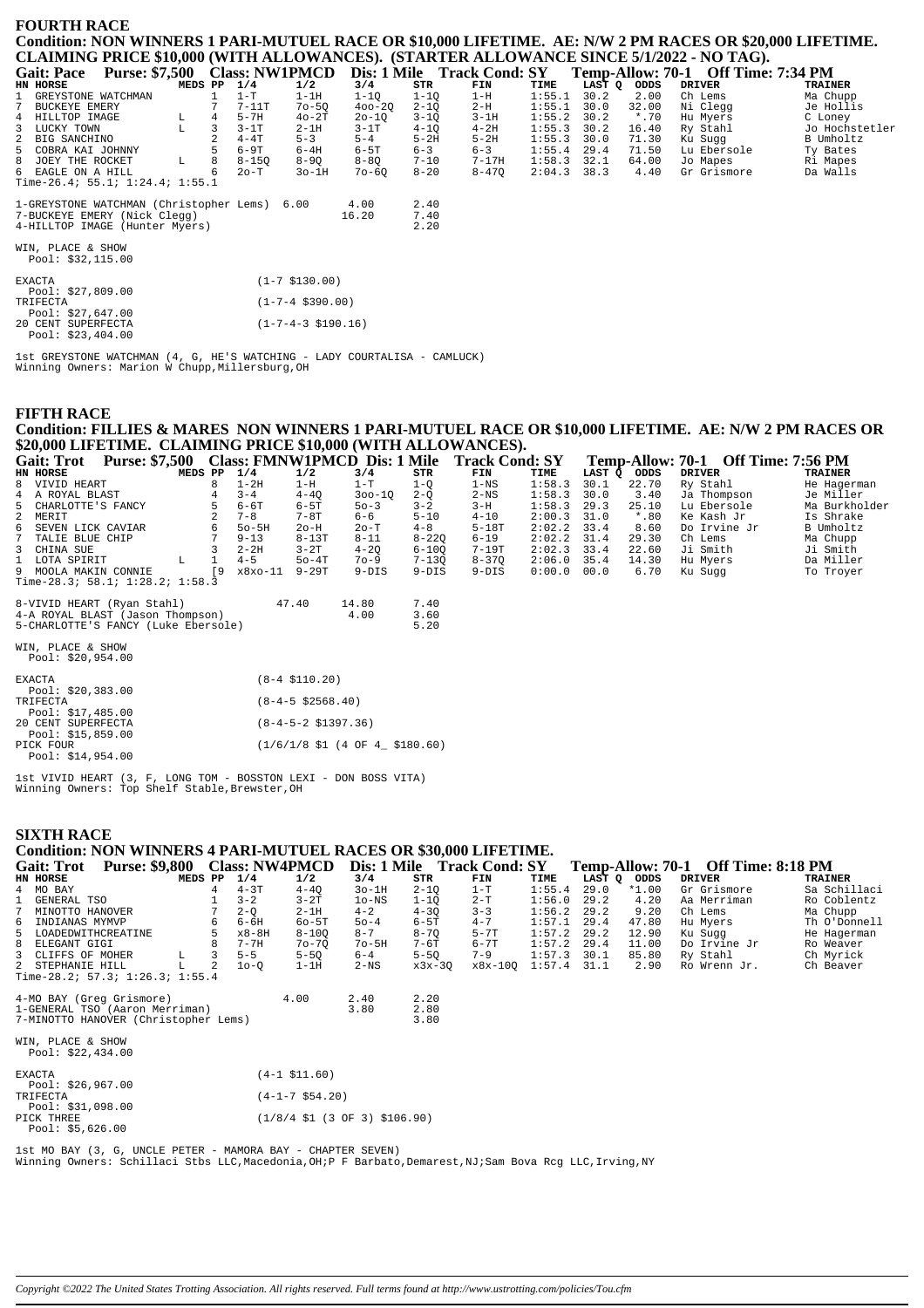| <b>FOURTH RACE</b> |  |  |                                                                                                        |                                                                                                          |
|--------------------|--|--|--------------------------------------------------------------------------------------------------------|----------------------------------------------------------------------------------------------------------|
|                    |  |  |                                                                                                        | Condition: NON WINNERS 1 PARI-MUTUEL RACE OR \$10,000 LIFETIME. AE: N/W 2 PM RACES OR \$20,000 LIFETIME. |
|                    |  |  | CLAIMING PRICE \$10,000 (WITH ALLOWANCES). (STARTER ALLOWANCE SINCE 5/1/2022 - NO TAG).                |                                                                                                          |
|                    |  |  | Coit: Pace Purse: \$7.500 Class: NW1PMCD Dis: 1 Mile Track Cond: SV Tamp Allow: 70-1 Off Time: 7:34 PM |                                                                                                          |

|   | <b>Gait: Pace</b>    | <b>Purse: \$7,500</b>                        |         |    | <b>Class: NW1PMCD</b> |           |            |          | Dis: 1 Mile Track Cond: SY |        |        |         | Temp-Allow: 70-1 Off Time: 7:34 PM |                |
|---|----------------------|----------------------------------------------|---------|----|-----------------------|-----------|------------|----------|----------------------------|--------|--------|---------|------------------------------------|----------------|
|   | HN HORSE             |                                              | MEDS PP |    | 1/4                   | 1/2       | 3/4        | STR      | FIN                        | TIME   | LAST O | ODDS    | <b>DRIVER</b>                      | <b>TRAINER</b> |
|   | 1 GREYSTONE WATCHMAN |                                              |         |    | $1-T$                 | $1-1H$    | $1 - 10$   | $1 - 10$ | $1-H$                      | 1:55.1 | 30.2   | 2.00    | Ch Lems                            | Ma Chupp       |
| 7 | BUCKEYE EMERY        |                                              |         |    | $7-11T$               | $70 - 50$ | $400 - 20$ | $2 - 10$ | $2-H$                      | 1:55.1 | 30.0   | 32.00   | Ni Clegg                           | Je Hollis      |
|   | 4 HILLTOP IMAGE      |                                              | L       | 4  | $5-7H$                | $40-2T$   | $20 - 10$  | $3 - 10$ | $3-1H$                     | 1:55.2 | 30.2   | $*$ .70 | Hu Myers                           | C Loney        |
|   | 3 LUCKY TOWN         |                                              | T.      | 3  | $3-1T$                | $2-1H$    | $3-1T$     | $4 - 10$ | $4-2H$                     | 1:55.3 | 30.2   | 16.40   | Ry Stahl                           | Jo Hochstetler |
|   | 2 BIG SANCHINO       |                                              |         |    | $4-4T$                | $5 - 3$   | $5 - 4$    | $5-2H$   | $5-2H$                     | 1:55.3 | 30.0   | 71.30   | Ku Suqq                            | B Umholtz      |
|   | 5 COBRA KAI JOHNNY   |                                              |         |    | $6-9T$                | $6-4H$    | $6-5T$     | $6 - 3$  | $6 - 3$                    | 1:55.4 | 29.4   | 71.50   | Lu Ebersole                        | Ty Bates       |
|   | 8 JOEY THE ROCKET    |                                              | L       | 8  | $8 - 150$             | $8 - 90$  | $8 - 80$   | $7 - 10$ | $7-17H$                    | 1:58.3 | 32.1   | 64.00   | Jo Mapes                           | Ri Mapes       |
|   | 6 EAGLE ON A HILL    |                                              |         | 6. | $2o-T$                | $30-1H$   | $70 - 60$  | $8 - 20$ | $8 - 470$                  | 2:04.3 | 38.3   | 4.40    | Gr Grismore                        | Da Walls       |
|   |                      | Time-26.4; 55.1; $1:24.4$ ; $1:55.1$         |         |    |                       |           |            |          |                            |        |        |         |                                    |                |
|   |                      | 1-GREYSTONE WATCHMAN (Christopher Lems) 6.00 |         |    |                       |           | 4.00       | 2.40     |                            |        |        |         |                                    |                |
|   |                      | 7-BUCKEYE EMERY (Nick Clegg)                 |         |    |                       |           | 16.20      | 7.40     |                            |        |        |         |                                    |                |
|   |                      | 4-HILLTOP IMAGE (Hunter Myers)               |         |    |                       |           |            | 2.20     |                            |        |        |         |                                    |                |
|   |                      |                                              |         |    |                       |           |            |          |                            |        |        |         |                                    |                |
|   | WIN, PLACE & SHOW    |                                              |         |    |                       |           |            |          |                            |        |        |         |                                    |                |
|   | Pool: $$32,115.00$   |                                              |         |    |                       |           |            |          |                            |        |        |         |                                    |                |
|   |                      |                                              |         |    |                       |           |            |          |                            |        |        |         |                                    |                |

| <b>EXACTA</b> |                    | $(1-7 \; $130.00)$              |
|---------------|--------------------|---------------------------------|
|               | Pool: $$27,809.00$ |                                 |
| TRIFECTA      |                    | $(1 - 7 - 4 \text{ } $390.00)$  |
|               | Pool: $$27.647.00$ |                                 |
|               | 20 CENT SUPERFECTA | $(1 - 7 - 4 - 3 \cdot $190.16)$ |
|               | Pool: $$23,404.00$ |                                 |

1st GREYSTONE WATCHMAN (4, G, HE'S WATCHING - LADY COURTALISA - CAMLUCK)<br>Winning Owners: Marion W Chupp,Millersburg,OH

### **FIFTH RACE** Condition: FILLIES & MARES NON WINNERS 1 PARI-MUTUEL RACE OR \$10,000 LIFETIME. AE: N/W 2 PM RACES OR \$20,000 LIFETIME. CLAIMING PRICE \$10,000 (WITH ALLOWANCES).

| <b>Gait: Trot</b>    |                                     |         |           |          |          |            |           | Purse: \$7,500 Class: FMNW1PMCD Dis: 1 Mile Track Cond: SY |               |        |         | <b>Temp-Allow: 70-1 Off Time: 7:56 PM</b> |                |
|----------------------|-------------------------------------|---------|-----------|----------|----------|------------|-----------|------------------------------------------------------------|---------------|--------|---------|-------------------------------------------|----------------|
| HN HORSE             |                                     | MEDS PP |           | 1/4      | 1/2      | 3/4        | STR       | FIN                                                        | TIME          | LAST O | ODDS    | DRIVER                                    | <b>TRAINER</b> |
| 8 VIVID HEART        |                                     |         |           | $1-2H$   | $1-H$    | $1-T$      | 1-0       | $1 - NS$                                                   | 1:58.3        | 30.1   | 22.70   | Ry Stahl                                  | He Hagerman    |
| 4 A ROYAL BLAST      |                                     |         |           | $3 - 4$  | $4 - 40$ | $300 - 10$ | $2 - 0$   | $2-NS$                                                     | 1:58.3        | 30.0   | 3.40    | Ja Thompson                               | Je Miller      |
| 5 CHARLOTTE'S FANCY  |                                     |         |           | 6-6T     | $6-5T$   | $50 - 3$   | $3 - 2$   | $3-H$                                                      | 1:58.3        | 29.3   | 25.10   | Lu Ebersole                               | Ma Burkholder  |
| 2 MERIT              |                                     |         |           | $7 - 8$  | $7-8T$   | 6-6        | $5 - 10$  | $4 - 10$                                                   | $2:00.3$ 31.0 |        | $*$ .80 | Ke Kash Jr                                | Is Shrake      |
| 6 SEVEN LICK CAVIAR  |                                     |         | б.        | $50-5H$  | $2o-H$   | $2o-T$     | $4 - 8$   | $5-18T$                                                    | $2:02.2$ 33.4 |        | 8.60    | Do Irvine Jr                              | B Umholtz      |
| 7 TALIE BLUE CHIP    |                                     |         |           | $9 - 13$ | $8-13T$  | $8 - 11$   | $8 - 220$ | $6 - 19$                                                   | $2:02.2$ 31.4 |        | 29.30   | Ch Lems                                   | Ma Chupp       |
| 3 CHINA SUE          |                                     |         |           | $2 - 2H$ | $3-2T$   | $4 - 20$   | $6 - 100$ | 7-19T                                                      | $2:02.3$ 33.4 |        | 22.60   | Ji Smith                                  | Ji Smith       |
| 1 LOTA SPIRIT        |                                     | L       |           | $4 - 5$  | $50-4T$  | $70 - 9$   | $7 - 130$ | $8 - 370$                                                  | $2:06.0$ 35.4 |        | 14.30   | Hu Myers                                  | Da Miller      |
| 9 MOOLA MAKIN CONNIE |                                     |         | <b>19</b> | x8xo-11  | 9-29T    | $9-DIS$    | 9-DIS     | 9-DIS                                                      | 0:00.0        | 00.0   | 6.70    | Ku Suqq                                   | To Troyer      |
|                      | Time-28.3; 58.1; 1:28.2; 1:58.3     |         |           |          |          |            |           |                                                            |               |        |         |                                           |                |
|                      | 8-VIVID HEART (Ryan Stahl)          |         |           |          | 47.40    | 14.80      | 7.40      |                                                            |               |        |         |                                           |                |
|                      | 4-A ROYAL BLAST (Jason Thompson)    |         |           |          |          | 4.00       | 3.60      |                                                            |               |        |         |                                           |                |
|                      | 5-CHARLOTTE'S FANCY (Luke Ebersole) |         |           |          |          |            | 5.20      |                                                            |               |        |         |                                           |                |

| $0 \times 1 \times 1$ minimized the set of $\frac{1}{2}$ | . |      | .  |
|----------------------------------------------------------|---|------|----|
| 4-A ROYAL BLAST (Jason Thompson)                         |   | 4.00 | 3. |
| 5-CHARLOTTE'S FANCY (Luke Ebersole)                      |   |      |    |
|                                                          |   |      |    |

WIN, PLACE & SHOW<br>Pool: \$20,954.00

| <b>EXACTA</b><br>Pool: $$20,383.00$      | $(8-4 \; \text{$}110.20)$                                                   |
|------------------------------------------|-----------------------------------------------------------------------------|
| TRIFECTA<br>Pool: $$17,485.00$           | $(8-4-5 \text{ } $2568.40)$                                                 |
| 20 CENT SUPERFECTA<br>Pool: $$15,859.00$ | $(8-4-5-2 \text{ } $1397.36)$                                               |
| PICK FOUR<br>Pool: \$14,954.00           | $(1/6/1/8 \text{ } 51 \text{ } (4 \text{ } 0F \text{ } 4 \text{ } $180.60)$ |

 $\begin{minipage}[c]{0.9\linewidth} 1st VIVID HEART (3, F, LONG TOM - BOSSTON LEXI - DON BOSS VITA) \label{minipage} \end{minipage}$  Winning Owners: Top Shelf Stable, Brewster, OH

## **SIXTH RACE**

# **Condition: NON WINNERS 4 PARI-MUTUEL RACES OR \$30,000 LIFETIME.**

| <b>Gait: Trot</b> | <b>Purse: \$9,800</b>                                                                              |         |                |          | <b>Class: NW4PMCD</b> | Dis: 1 Mile  |                      | <b>Track Cond: SY</b> |        |        |         | Temp-Allow: 70-1 Off Time: 8:18 PM |                |
|-------------------|----------------------------------------------------------------------------------------------------|---------|----------------|----------|-----------------------|--------------|----------------------|-----------------------|--------|--------|---------|------------------------------------|----------------|
| HN HORSE          |                                                                                                    | MEDS PP |                | 1/4      | 1/2                   | 3/4          | STR                  | FIN                   | TIME   | LAST O | ODDS    | <b>DRIVER</b>                      | <b>TRAINER</b> |
| 4 MO BAY          |                                                                                                    |         | 4              | $4-3T$   | $4 - 40$              | $3o-1H$      | $2 - 10$             | $1-T$                 | 1:55.4 | 29.0   | $*1.00$ | Gr Grismore                        | Sa Schillaci   |
| 1 GENERAL TSO     |                                                                                                    |         |                | $3 - 2$  | $3-2T$                | $1o$ -NS     | $1 - 10$             | 2-T                   | 1:56.0 | 29.2   | 4.20    | Aa Merriman                        | Ro Coblentz    |
| 7 MINOTTO HANOVER |                                                                                                    |         |                | $2 - 0$  | $2-1H$                | $4 - 2$      | $4 - 30$             | $3 - 3$               | 1:56.2 | 29.2   | 9.20    | Ch Lems                            | Ma Chupp       |
| 6 INDIANAS MYMVP  |                                                                                                    |         | 6              | 6-6H     | $60 - 5T$             | $50 - 4$     | 6-5T                 | $4 - 7$               | 1:57.1 | 29.4   | 47.80   | Hu Myers                           | Th O'Donnell   |
|                   | 5 LOADEDWITHCREATINE                                                                               |         |                | x8-8H    | $8 - 100$             | $8 - 7$      | $8 - 70$             | $5 - 7T$              | 1:57.2 | 29.2   | 12.90   | Ku Sugg                            | He Hagerman    |
| 8 ELEGANT GIGI    |                                                                                                    |         | 8              | $7 - 7H$ | $70 - 70$             | $70-5H$      | 7-6T                 | 6-7T                  | 1:57.2 | 29.4   | 11.00   | Do Irvine Jr                       | Ro Weaver      |
| 3 CLIFFS OF MOHER |                                                                                                    |         | 3              | $5 - 5$  | $5 - 50$              | $6 - 4$      | $5 - 50$             | $7 - 9$               | 1:57.3 | 30.1   | 85.80   | Ry Stahl                           | Ch Myrick      |
| 2 STEPHANIE HILL  |                                                                                                    |         | $\mathfrak{D}$ | $10-0$   | $1-1H$                | $2-NS$       | $x3x-30$             | x8x-100 1:57.4 31.1   |        |        | 2.90    | Ro Wrenn Jr.                       | Ch Beaver      |
|                   | Time-28.2; $57.3$ ; $1:26.3$ ; $1:55.4$                                                            |         |                |          |                       |              |                      |                       |        |        |         |                                    |                |
|                   | 4-MO BAY (Greq Grismore)<br>1-GENERAL TSO (Aaron Merriman)<br>7-MINOTTO HANOVER (Christopher Lems) |         |                |          | 4.00                  | 2.40<br>3.80 | 2.20<br>2.80<br>3.80 |                       |        |        |         |                                    |                |
|                   |                                                                                                    |         |                |          |                       |              |                      |                       |        |        |         |                                    |                |

# WIN, PLACE & SHOW<br>Pool: \$22,434.00

| <b>EXACTA</b>                      | $(4-1 \; \text{S11.60})$                          |
|------------------------------------|---------------------------------------------------|
| Pool: \$26,967.00<br>TR T F F.C.TA | $(4-1-7 \text{ }554.20)$                          |
| Pool: \$31,098.00                  |                                                   |
| PICK THREE                         | $(1/8/4 \text{ }1/3 \text{ }0)$ (3 0 $(3/106.90)$ |
| Pool: $$5,626.00$                  |                                                   |

lst MO BAY (3, G, UNCLE PETER - MAMORA BAY - CHAPTER SEVEN)<br>Winning Owners: Schillaci Stbs LLC,Macedonia,OH;P F Barbato,Demarest,NJ;Sam Bova Rcg LLC,Irving,NY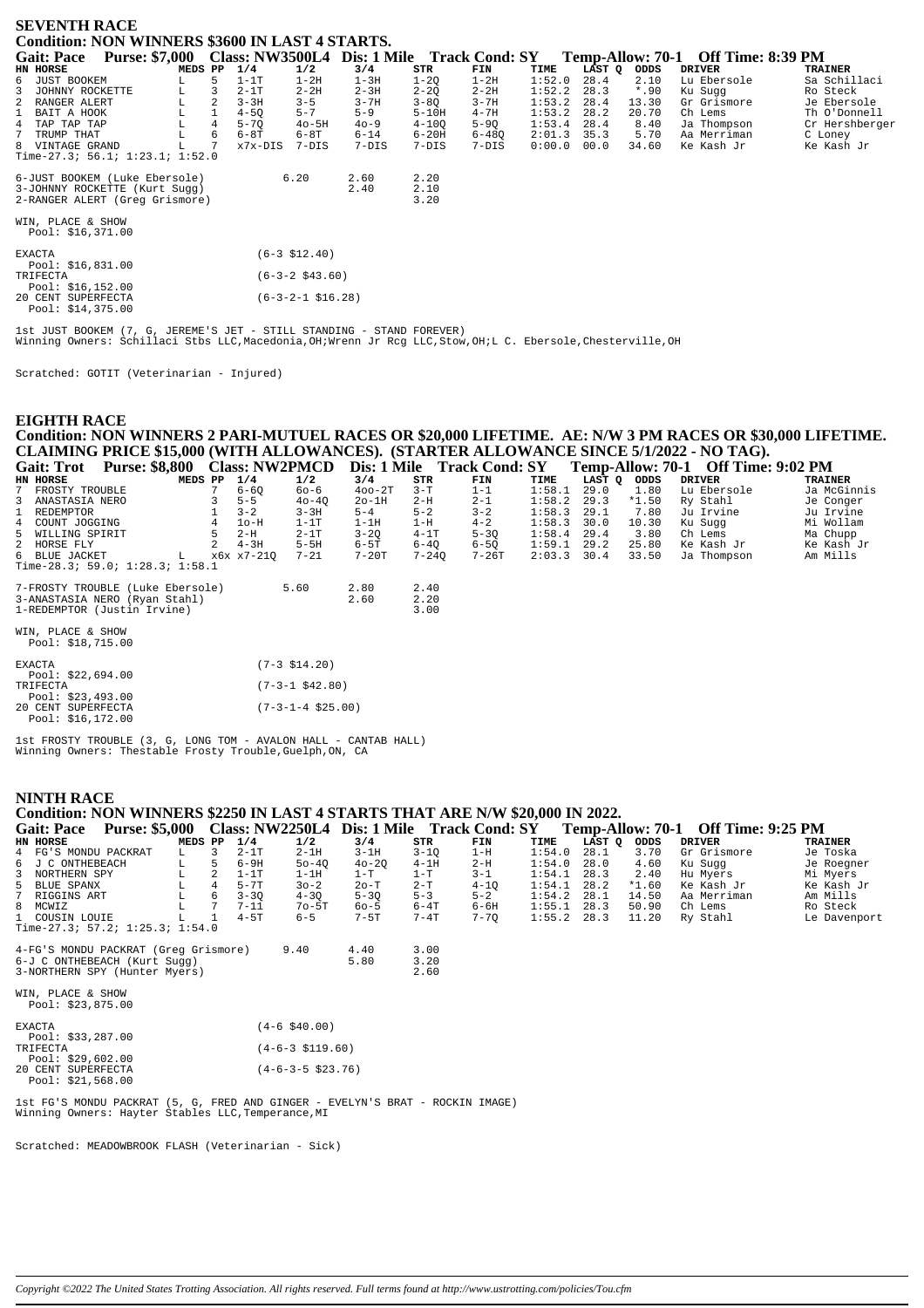| <b>SEVENTH RACE</b>                                                                                                                                                                                                                                                                                                    |                                                                                                                                                         |                                                                              |                                                                                  |                                                                              |                                                                    |                                                      |                                                            |                                                                                              |                                                                                                    |  |  |  |
|------------------------------------------------------------------------------------------------------------------------------------------------------------------------------------------------------------------------------------------------------------------------------------------------------------------------|---------------------------------------------------------------------------------------------------------------------------------------------------------|------------------------------------------------------------------------------|----------------------------------------------------------------------------------|------------------------------------------------------------------------------|--------------------------------------------------------------------|------------------------------------------------------|------------------------------------------------------------|----------------------------------------------------------------------------------------------|----------------------------------------------------------------------------------------------------|--|--|--|
| <b>Condition: NON WINNERS \$3600 IN LAST 4 STARTS.</b>                                                                                                                                                                                                                                                                 |                                                                                                                                                         |                                                                              |                                                                                  |                                                                              |                                                                    |                                                      |                                                            |                                                                                              |                                                                                                    |  |  |  |
| Purse: \$7,000 Class: NW3500L4 Dis: 1 Mile Track Cond: SY<br><b>Gait: Pace</b><br>HN HORSE<br>MEDS PP                                                                                                                                                                                                                  | 1/4<br>1/2                                                                                                                                              | 3/4                                                                          | STR                                                                              | FIN                                                                          | TIME                                                               | LĀST Q                                               | ODDS                                                       | Temp-Allow: 70-1 Off Time: 8:39 PM<br><b>DRIVER</b>                                          | <b>TRAINER</b>                                                                                     |  |  |  |
| 6 JUST BOOKEM<br>5<br>L<br>3<br>JOHNNY ROCKETTE<br>$\begin{array}{c} \mathbf{L} \\ \mathbf{L} \\ \mathbf{L} \end{array}$<br>3<br>2<br>2 RANGER ALERT<br>1 BAIT A HOOK<br>$^{\rm L}_{\rm L}$<br>$\overline{4}$<br>4 TAP TAP TAP<br>6<br>$7^{\circ}$<br>TRUMP THAT<br>8 VINTAGE GRAND<br>Time-27.3; 56.1; 1:23.1; 1:52.0 | $1-1T$<br>$1-2H$<br>$2 - 2H$<br>$2 - 1T$<br>$3 - 3H$<br>$3 - 5$<br>$5 - 7$<br>$4 - 50$<br>$5 - 7Q$<br>$40 - 5H$<br>$6-8T$<br>$6-8T$<br>x7x-DIS<br>7-DIS | $1-3H$<br>$2 - 3H$<br>$3 - 7H$<br>$5 - 9$<br>$40 - 9$<br>$6 - 14$<br>$7-DIS$ | $1 - 2Q$<br>$2 - 2Q$<br>$3 - 8Q$<br>$5-10H$<br>$4 - 100$<br>$6 - 20H$<br>$7-DIS$ | $1-2H$<br>$2 - 2H$<br>$3 - 7H$<br>$4 - 7H$<br>$5-9Q$<br>$6 - 480$<br>$7-DIS$ | 1:52.0<br>1:52.2<br>1:53.2<br>1:53.2<br>1:53.4<br>2:01.3<br>0:00.0 | 28.4<br>28.3<br>28.4<br>28.2<br>28.4<br>35.3<br>00.0 | 2.10<br>$*$ .90<br>13.30<br>20.70<br>8.40<br>5.70<br>34.60 | Lu Ebersole<br>Ku Sugg<br>Gr Grismore<br>Ch Lems<br>Ja Thompson<br>Aa Merriman<br>Ke Kash Jr | Sa Schillaci<br>Ro Steck<br>Je Ebersole<br>Th O'Donnell<br>Cr Hershberger<br>C Loney<br>Ke Kash Jr |  |  |  |
| 6-JUST BOOKEM (Luke Ebersole)<br>3-JOHNNY ROCKETTE (Kurt Sugg)<br>2-RANGER ALERT (Greg Grismore)<br>WIN, PLACE & SHOW<br>Pool: $$16,371.00$                                                                                                                                                                            | 6.20                                                                                                                                                    | 2.60<br>2.40                                                                 | 2.20<br>2.10<br>3.20                                                             |                                                                              |                                                                    |                                                      |                                                            |                                                                                              |                                                                                                    |  |  |  |
| <b>EXACTA</b><br>Pool: \$16,831.00<br>TRIFECTA                                                                                                                                                                                                                                                                         | $(6-3 \; $12.40)$<br>$(6-3-2$ \$43.60)                                                                                                                  |                                                                              |                                                                                  |                                                                              |                                                                    |                                                      |                                                            |                                                                                              |                                                                                                    |  |  |  |
| Pool: $$16,152.00$<br>20 CENT SUPERFECTA<br>Pool: \$14,375.00                                                                                                                                                                                                                                                          | $(6-3-2-1$ \$16.28)                                                                                                                                     |                                                                              |                                                                                  |                                                                              |                                                                    |                                                      |                                                            |                                                                                              |                                                                                                    |  |  |  |

lst JUST BOOKEM (7, G, JEREME'S JET - STILL STANDING - STAND FOREVER)<br>Winning Owners: Schillaci Stbs LLC,Macedonia,OH;Wrenn Jr Rcg LLC,Stow,OH;L C. Ebersole,Chesterville,OH

Scratched: GOTIT (Veterinarian - Injured)

## **EIGHTH RACE**

Condition: NON WINNERS 2 PARI-MUTUEL RACES OR \$20,000 LIFETIME. AE: N/W 3 PM RACES OR \$30,000 LIFETIME. CLAIMING PRICE \$15,000 (WITH ALLOWANCES). (STARTER ALLOWANCE SINCE 5/1/2022 - NO TAG).<br>Gait: Trot Purse: \$8,800 Class: NW2PMCD Dis: 1 Mile Track Cond: SY Temp-Allow: 70-1 Off Time:  $T_{\text{omn}}$  Allow 70.1 Off  $T_{\text{im}\alpha}$ , 0.02 DM

| Gail. 1101<br>1 UI SC. 00,000    |   | CIASS, INVELIVICI |           | DIS. I MILLE ITALK COMM. ST |           |           |               |             |         | $1 \text{cm}$ $\mu$ $\sim$ $1 \text{cm}$ $\mu$ $\sim$ $1 \text{cm}$ $\mu$ |             |
|----------------------------------|---|-------------------|-----------|-----------------------------|-----------|-----------|---------------|-------------|---------|---------------------------------------------------------------------------|-------------|
| HN HORSE<br>MEDS PP              |   | 1/4               | 1/2       | 3/4                         | STR       | FIN       | TIME          | LAST Q ODDS |         | <b>DRIVER</b>                                                             | TRAINER     |
| 7 FROSTY TROUBLE                 |   | $6 - 60$          | 60-6      | $400 - 2T$                  | $3-T$     | $1 - 1$   | 1:58.1        | 29.0        | 1.80    | Lu Ebersole                                                               | Ja McGinnis |
| 3 ANASTASIA NERO                 |   | $5 - 5$           | $40 - 40$ | $2o-1H$                     | $2-H$     | $2 - 1$   | $1:58.2$ 29.3 |             | $*1.50$ | Ry Stahl                                                                  | Je Conger   |
| 1 REDEMPTOR                      |   | $3 - 2$           | $3 - 3H$  | $5 - 4$                     | $5 - 2$   | $3 - 2$   | 1:58.3        | 29.1        | 7.80    | Ju Irvine                                                                 | Ju Irvine   |
| 4 COUNT JOGGING                  | 4 | $1o-H$            | $1-1T$    | $1-1H$                      | $1-H$     | $4 - 2$   | 1:58.3        | 30.0        | 10.30   | Ku Sugg                                                                   | Mi Wollam   |
| 5 WILLING SPIRIT                 | 5 | $2-H$             | $2-1T$    | $3 - 20$                    | $4-1T$    | $5 - 30$  | 1:58.4        | 29.4        | 3.80    | Ch Lems                                                                   | Ma Chupp    |
| 2 HORSE FLY                      |   | $4 - 3H$          | $5-5H$    | 6-5T                        | $6 - 40$  | $6 - 50$  | 1:59.1        | 29.2        | 25.80   | Ke Kash Jr                                                                | Ke Kash Jr  |
| 6 BLUE JACKET<br>L.              |   | x6x x7-210        | $7 - 21$  | $7-20T$                     | $7 - 240$ | $7 - 26T$ | 2:03.3        | 30.4        | 33.50   | Ja Thompson                                                               | Am Mills    |
| Time-28.3; 59.0; 1:28.3; 1:58.1  |   |                   |           |                             |           |           |               |             |         |                                                                           |             |
|                                  |   |                   |           |                             |           |           |               |             |         |                                                                           |             |
| 7-FROSTY TROUBLE (Luke Ebersole) |   |                   | 5.60      | 2.80                        | 2.40      |           |               |             |         |                                                                           |             |
| 3-ANASTASIA NERO (Ryan Stahl)    |   |                   |           | 2.60                        | 2.20      |           |               |             |         |                                                                           |             |
| 1-REDEMPTOR (Justin Irvine)      |   |                   |           |                             | 3.00      |           |               |             |         |                                                                           |             |
|                                  |   |                   |           |                             |           |           |               |             |         |                                                                           |             |
| WIN, PLACE & SHOW                |   |                   |           |                             |           |           |               |             |         |                                                                           |             |
| Pool: $$18,715.00$               |   |                   |           |                             |           |           |               |             |         |                                                                           |             |

| <b>EXACTA</b>      | $(7-3 \; \text{S14.20})$    |
|--------------------|-----------------------------|
| Pool: $$22.694.00$ |                             |
| TRIFECTA           | $(7-3-1$ \$42.80)           |
| Pool: \$23,493.00  |                             |
| 20 CENT SUPERFECTA | $(7-3-1-4 \text{ } $25.00)$ |
| Pool: \$16,172.00  |                             |

Ist FROSTY TROUBLE (3, G, LONG TOM - AVALON HALL - CANTAB HALL)<br>Winning Owners: Thestable Frosty Trouble, Guelph, ON, CA

#### **NINTH RACE**

#### Condition: NON WINNERS \$2250 IN LAST 4 STARTS THAT ARE N/W \$20,000 IN 2022. Gait: Pace Purse: \$5,000 Class: NW2250L4 Dis: 1 Mile Track Cond: SY Temp-Allow: 70-1 Off Time: 9:25 PM MEDS PP  $1/4$  $STR$ TIME HN HORSE  $\frac{1}{2}$ FIN LAST Q ODDS DRIVER TRAINER  $3/4$  $1:54.0$ FG'S MONDU PACKRAT<br>J C ONTHEBEACH  $2 - 1T$ <br>6-9H  $2 - 1H$ <br>50-4Q  $3 - 1H$ <br> $40 - 2Q$  $3 - 1Q$ <br> $4 - 1H$  $28.1$ <br> $28.0$  $3.70$ <br> $4.60$ Je Toska<br>Je Roegner  $\overline{4}$  $\mathbf{L}$  $\frac{3}{5}$  $1 - H$ Gr Grismore Ku Sugg  $\overline{6}$ ĩ.  $2-H$  $1:54.0$  $1 - T$ <br>  $2 - T$ <br>  $5 - 3$  $1:54.1 28.31:54.1 28.21:54.2 28.1$  $\begin{array}{c} 3 \\ 5 \\ 7 \end{array}$  $2.40$ <br> $*1.60$ Hu Myers<br>Ke Kash Jr Mi Myers<br>Ke Kash Jr NORTHERN SPY  $T_{\rm H}$  $\overline{2}$  $1-1T$  $1-1H$  $1-T$  $3 - 1$ BLUE SPANX  $\overline{4}$  $5 - 7T$ <br> $3 - 30$  $2o-T$  $4-10$ <br>5-2  $\mathbb L$  $30 - 2$  $4 - 30$  $5 - 30$ 14.50 RIGGINS ART  $\mathbf L$ 6 Aa Merriman Am Mills  $70 - 5T$ <br>6-5  $6 - 4T$ <br> $7 - 4T$  $6 - 6H$ <br> $7 - 70$  $1:55.1$  28.3<br>1:55.2 28.3  $\,$  8  $\,$  $\texttt{MCWIZ}$  $\mathbf{L}^ \overline{7}$  $7 - 11$  $60 - 5$  $28.3$ 50.90  $Ch$  Lems Ro Steck COUSIN LOUIE  $\overline{1}$  $4 - 5T$  $7 - 5T$  $11.20$ Ry Stahl Le Davenport  $\overline{1}$  $T$ Time-27.3; 57.2; 1:25.3; 1:54.0 4-FG'S MONDU PACKRAT (Greg Grismore)  $9.40$  $4.40$  $3.00$ 6-J C ONTHEBEACH (Kurt Sugg)  $5.80$  $3.20$ 3-NORTHERN SPY (Hunter Myers)  $2.60$

WIN, PLACE & SHOW Pool: \$23,875.00 **EXACTA**  $(4-6, $40.00)$ Pool: \$33,287.00 **TRIFECTA**  $(4-6-3 \t5119.60)$ Pool: \$29,602.00<br>20 CENT SUPERFECTA<br>Pool: \$21,568.00  $(4-6-3-5 \ $23.76)$ 

1st FG'S MONDU PACKRAT (5, G, FRED AND GINGER - EVELYN'S BRAT - ROCKIN IMAGE)<br>Winning Owners: Hayter Stables LLC, Temperance, MI

Scratched: MEADOWBROOK FLASH (Veterinarian - Sick)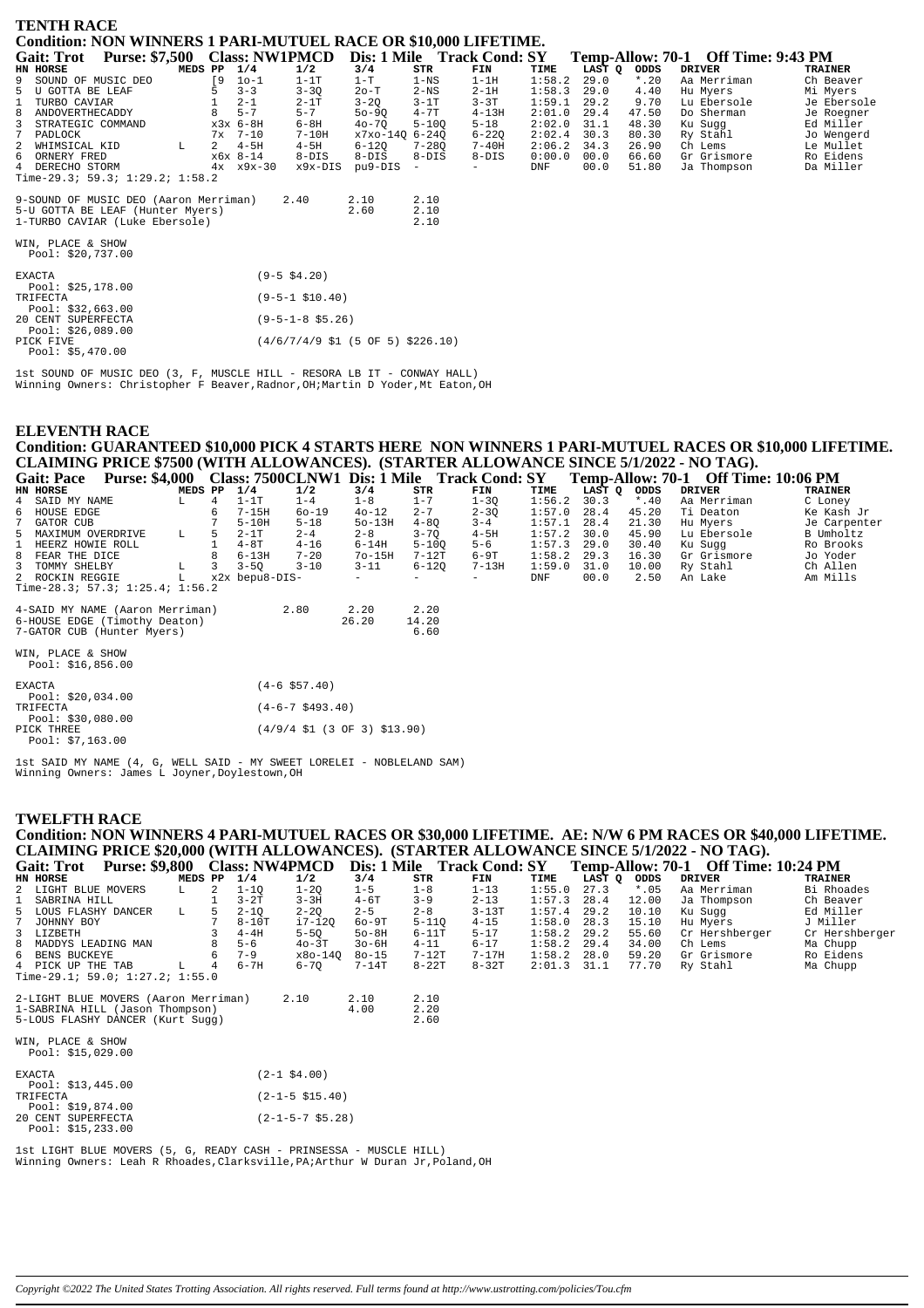| <b>TENTH RACE</b>                                                                                           |                               |    |                   |                        |                                                                                |                      |           |            |        |         |                                    |                |
|-------------------------------------------------------------------------------------------------------------|-------------------------------|----|-------------------|------------------------|--------------------------------------------------------------------------------|----------------------|-----------|------------|--------|---------|------------------------------------|----------------|
| <b>Condition: NON WINNERS 1 PARI-MUTUEL RACE OR \$10,000 LIFETIME.</b>                                      |                               |    |                   |                        |                                                                                |                      |           |            |        |         |                                    |                |
| <b>Gait: Trot</b>                                                                                           | Purse: \$7,500 Class: NW1PMCD |    |                   |                        | Dis: 1 Mile Track Cond: SY                                                     |                      |           |            |        |         | Temp-Allow: 70-1 Off Time: 9:43 PM |                |
| HN HORSE                                                                                                    | MEDS PP                       |    | 1/4               | 1/2                    | 3/4                                                                            | STR                  | FIN       | TIME       | LAST Q | ODDS    | <b>DRIVER</b>                      | <b>TRAINER</b> |
| 9<br>SOUND OF MUSIC DEO                                                                                     |                               | [9 | $10 - 1$          | $1-1T$                 | $1-T$                                                                          | $1 - NS$             | $1-1H$    | 1:58.2     | 29.0   | $*$ .20 | Aa Merriman                        | Ch Beaver      |
| U GOTTA BE LEAF                                                                                             |                               |    | $3 - 3$           | $3 - 3Q$               | $2o-T$                                                                         | $2-NS$               | $2 - 1H$  | 1:58.3     | 29.0   | 4.40    | Hu Myers                           | Mi Myers       |
| TURBO CAVIAR                                                                                                |                               |    | $2 - 1$           | $2-1T$                 | $3 - 2Q$                                                                       | $3-1T$               | $3 - 3T$  | 1:59.1     | 29.2   | 9.70    | Lu Ebersole                        | Je Ebersole    |
| 8<br>ANDOVERTHECADDY                                                                                        |                               |    | $5 - 7$           | $5 - 7$                | $50 - 90$                                                                      | $4 - 7T$             | $4 - 13H$ | 2:01.0     | 29.4   | 47.50   | Do Sherman                         | Je Roegner     |
| STRATEGIC COMMAND                                                                                           |                               |    | x3x 6-8H          | $6-8H$                 | $40 - 70$                                                                      | $5 - 100$            | $5 - 18$  | 2:02.0     | 31.1   | 48.30   | Ku Suqq                            | Ed Miller      |
| PADLOCK                                                                                                     |                               | 7х | $7 - 10$          | $7-10H$                | x7xo-14Q 6-24Q                                                                 |                      | $6 - 220$ | 2:02.4     | 30.3   | 80.30   | Ry Stahl                           | Jo Wengerd     |
| 2<br>WHIMSICAL KID                                                                                          | L                             | 2  | $4-5H$            | $4-5H$                 | $6 - 12Q$                                                                      | $7 - 280$            | $7 - 40H$ | 2:06.2     | 34.3   | 26.90   | Ch Lems                            | Le Mullet      |
| 6<br>ORNERY FRED                                                                                            |                               |    | $x6x$ 8-14        | $8-DIS$                | $8-DIS$                                                                        | $8 - DIS$            | $8 - DIS$ | 0:00.0     | 00.0   | 66.60   | Gr Grismore                        | Ro Eidens      |
| 4<br>DERECHO STORM                                                                                          |                               |    | $4x \times 9x-30$ | x9x-DIS                | pu9-DIS                                                                        |                      |           | <b>DNF</b> | 00.0   | 51.80   | Ja Thompson                        | Da Miller      |
| Time-29.3; 59.3; $1:29.2$ ; $1:58.2$                                                                        |                               |    |                   |                        |                                                                                |                      |           |            |        |         |                                    |                |
| 9-SOUND OF MUSIC DEO (Aaron Merriman)<br>5-U GOTTA BE LEAF (Hunter Myers)<br>1-TURBO CAVIAR (Luke Ebersole) |                               |    |                   | 2.40                   | 2.10<br>2.60                                                                   | 2.10<br>2.10<br>2.10 |           |            |        |         |                                    |                |
| WIN, PLACE & SHOW<br>Pool: \$20,737.00                                                                      |                               |    |                   |                        |                                                                                |                      |           |            |        |         |                                    |                |
| <b>EXACTA</b><br>Pool: \$25,178.00                                                                          |                               |    |                   | $(9 - 5 \ $4.20)$      |                                                                                |                      |           |            |        |         |                                    |                |
| TRIFECTA<br>Pool: $$32,663.00$                                                                              |                               |    |                   | $(9 - 5 - 1 \ $10.40)$ |                                                                                |                      |           |            |        |         |                                    |                |
| 20 CENT SUPERFECTA<br>Pool: \$26,089.00                                                                     |                               |    |                   | $(9-5-1-8$ \$5.26)     |                                                                                |                      |           |            |        |         |                                    |                |
| PICK FIVE<br>Pool: \$5,470.00                                                                               |                               |    |                   |                        | $(4/6/7/4/9 \text{ } $1 \text{ } (5 \text{ } 0F \text{ } 5) \text{ } $226.10)$ |                      |           |            |        |         |                                    |                |

1st SOUND OF MUSIC DEO (3, F, MUSCLE HILL - RESORA LB IT - CONWAY HALL) Winning Owners: Christopher F Beaver,Radnor,OH;Martin D Yoder,Mt Eaton,OH

# **ELEVENTH RACE Condition: GUARANTEED \$10,000 PICK 4 STARTS HERE NON WINNERS 1 PARI-MUTUEL RACES OR \$10,000 LIFETIME.** CLAIMING PRICE \$7500 (WITH ALLOWANCES). (STARTER ALLOWANCE SINCE 5/1/2022 - NO TAG).<br>Gait: Pace Purse: \$4,000 Class: 7500CLNW1 Dis: 1 Mile Track Cond: SY Temp-Allow: 70-1 Off Time: 10:06 PM<br>EN EORSE DRIVER MEDS PP 1/4 1/2 **Gait: Pace Purse: \$4,000 Class: 7500CLNW1 Dis: 1 Mile Track Cond: SY Temp-Allow: 70-1 Off Time: 10:06 PM<br>
EN HORSE MEDS PP 1/4 1/2 3/4 STR FINE LAST Q ODDS DRIVER TRAINER<br>
4 SAID MY NAME LAST LAT 1-4 1-8 1-7 1-30 1:57.0** 5 MAXIMUM OVERDRIVE L 5 2-1T 2-4 2-8 3-7Q 2-3Q 1:57.0 28.4 45.20 Ti Deaton Ke Kash J.<br>5 MAXIMUM OVERDRIVE L 5 2-1T 2-4 2-8 3-7Q 4-5H 1:57.1 28.4 21.30 Hu Myers Je Carpen<br>5 MAXIMUM OVER ROLL 1 4-8T 4-4 2-8 3-7Q 4-5H 1:57.2 1 HEERZ HOWIE ROLL 1 4-8T 4-16 6-14H 5-10Q 5-6 1:57.3 29.0 30.40 Ku Sugg Ro Brook<br>1 REERZ HOWIE ROLL 1 4-8T 4-16 6-14H 5-10Q 5-6 1:57.3 29.0 30.40 Ku Sugg Ro Brook 8 FEAR THE DICE 8 6-13H 7-20 7o-15H 7-12T 6-9T 1:58.2 29.3 16.30 Gr Grismore Jo Yoder 3 TOMMY SHELBY L 3 3-5Q 3-10 3-11 6-12Q 7-13H 1:59.0 31.0 10.00 Ry Stahl Ch Allen 2 ROCKIN REGGIE L x2x bepu8-DIS- - - - DNF 00.0 2.50 An Lake Am Mills Time-28.3; 57.3; 1:25.4; 1:56.2 4-SAID MY NAME (Aaron Merriman) 2.80 2.20 2.20 6-HOUSE EDGE (Timothy Deaton) 26.20 14.20 7-GATOR CUB (Hunter Myers) 6.60

| WIN, PLACE & SHOW<br>Pool: $$16,856.00$ |                                                                           |
|-----------------------------------------|---------------------------------------------------------------------------|
| <b>EXACTA</b>                           | $(4 - 6 \text{ } $57.40)$                                                 |
| Pool: $$20,034.00$                      |                                                                           |
| TRIFECTA                                | $(4-6-7 \text{ } $493.40)$                                                |
| Pool: \$30,080.00                       |                                                                           |
| PICK THREE                              | $(4/9/4 \text{ } $1 \text{ } (3 \text{ } 0F \text{ } 3) \text{ } $13.90)$ |
| Pool: $$7,163.00$                       |                                                                           |

1st SAID MY NAME (4, G, WELL SAID - MY SWEET LORELEI - NOBLELAND SAM) Winning Owners: James L Joyner,Doylestown,OH

#### **TWELFTH RACE**

Pool: \$15,233.00

| Condition: NON WINNERS 4 PARI-MUTUEL RACES OR \$30,000 LIFETIME. AE: N/W 6 PM RACES OR \$40,000 LIFETIME. |         |   |          |                           |           |           |           |        |        |        |                                            |                |
|-----------------------------------------------------------------------------------------------------------|---------|---|----------|---------------------------|-----------|-----------|-----------|--------|--------|--------|--------------------------------------------|----------------|
| CLAIMING PRICE \$20,000 (WITH ALLOWANCES). (STARTER ALLOWANCE SINCE 5/1/2022 - NO TAG).                   |         |   |          |                           |           |           |           |        |        |        |                                            |                |
| Gait: Trot Purse: \$9,800 Class: NW4PMCD Dis: 1 Mile Track Cond: SY                                       |         |   |          |                           |           |           |           |        |        |        | <b>Temp-Allow: 70-1 Off Time: 10:24 PM</b> |                |
| HN HORSE                                                                                                  | MEDS PP |   | 1/4      | 1/2                       | 3/4       | STR       | FIN       | TIME   | LAST Q | ODDS   | <b>DRIVER</b>                              | <b>TRAINER</b> |
| 2 LIGHT BLUE MOVERS                                                                                       | L.      | 2 | $1 - 10$ | $1 - 2Q$                  | $1 - 5$   | $1 - 8$   | $1 - 13$  | 1:55.0 | 27.3   | $*.05$ | Aa Merriman                                | Bi Rhoades     |
| SABRINA HILL<br>1                                                                                         |         |   | $3-2T$   | $3 - 3H$                  | $4-6T$    | $3 - 9$   | $2 - 13$  | 1:57.3 | 28.4   | 12.00  | Ja Thompson                                | Ch Beaver      |
| 5 LOUS FLASHY DANCER                                                                                      | L       | 5 | $2 - 1Q$ | $2 - 2Q$                  | $2 - 5$   | $2 - 8$   | $3 - 13T$ | 1:57.4 | 29.2   | 10.10  | Ku Sugg                                    | Ed Miller      |
| JOHNNY BOY                                                                                                |         |   | $8-10T$  | i7-120                    | $60-9T$   | $5 - 110$ | $4 - 15$  | 1:58.0 | 28.3   | 15.10  | Hu Myers                                   | J Miller       |
| 3 LIZBETH                                                                                                 |         |   | $4-4H$   | $5-5Q$                    | $50-8H$   | $6-11T$   | $5 - 17$  | 1:58.2 | 29.2   | 55.60  | Cr Hershberger                             | Cr Hershberger |
| 8<br>MADDYS LEADING MAN                                                                                   |         |   | $5 - 6$  | $40-3T$                   | $30-6H$   | $4 - 11$  | $6 - 17$  | 1:58.2 | 29.4   | 34.00  | Ch Lems                                    | Ma Chupp       |
| BENS BUCKEYE<br>6                                                                                         |         |   | $7 - 9$  | x8o-140                   | $80 - 15$ | $7-12T$   | 7-17H     | 1:58.2 | 28.0   | 59.20  | Gr Grismore                                | Ro Eidens      |
| 4 PICK UP THE TAB                                                                                         | L.      | 4 | $6 - 7H$ | $6 - 70$                  | $7-14T$   | $8-22T$   | $8-32T$   | 2:01.3 | 31.1   | 77.70  | Ry Stahl                                   | Ma Chupp       |
| Time-29.1; 59.0; $1:27.2$ ; $1:55.0$                                                                      |         |   |          |                           |           |           |           |        |        |        |                                            |                |
| 2-LIGHT BLUE MOVERS (Aaron Merriman)                                                                      |         |   |          | 2.10                      | 2.10      | 2.10      |           |        |        |        |                                            |                |
| 1-SABRINA HILL (Jason Thompson)                                                                           |         |   |          |                           | 4.00      | 2.20      |           |        |        |        |                                            |                |
| 5-LOUS FLASHY DANCER (Kurt Sugg)                                                                          |         |   |          |                           |           | 2.60      |           |        |        |        |                                            |                |
|                                                                                                           |         |   |          |                           |           |           |           |        |        |        |                                            |                |
| WIN, PLACE & SHOW                                                                                         |         |   |          |                           |           |           |           |        |        |        |                                            |                |
| Pool: \$15,029.00                                                                                         |         |   |          |                           |           |           |           |        |        |        |                                            |                |
| <b>EXACTA</b>                                                                                             |         |   |          | $(2-1$ \$4.00)            |           |           |           |        |        |        |                                            |                |
| Pool: $$13,445.00$                                                                                        |         |   |          |                           |           |           |           |        |        |        |                                            |                |
| TRIFECTA                                                                                                  |         |   |          | $(2-1-5 \; $15.40)$       |           |           |           |        |        |        |                                            |                |
| Pool: \$19,874.00                                                                                         |         |   |          |                           |           |           |           |        |        |        |                                            |                |
| 20 CENT SUPERFECTA                                                                                        |         |   |          | $(2 - 1 - 5 - 7 \ $5.28)$ |           |           |           |        |        |        |                                            |                |

1st LIGHT BLUE MOVERS (5, G, READY CASH - PRINSESSA - MUSCLE HILL) Winning Owners: Leah R Rhoades,Clarksville,PA;Arthur W Duran Jr,Poland,OH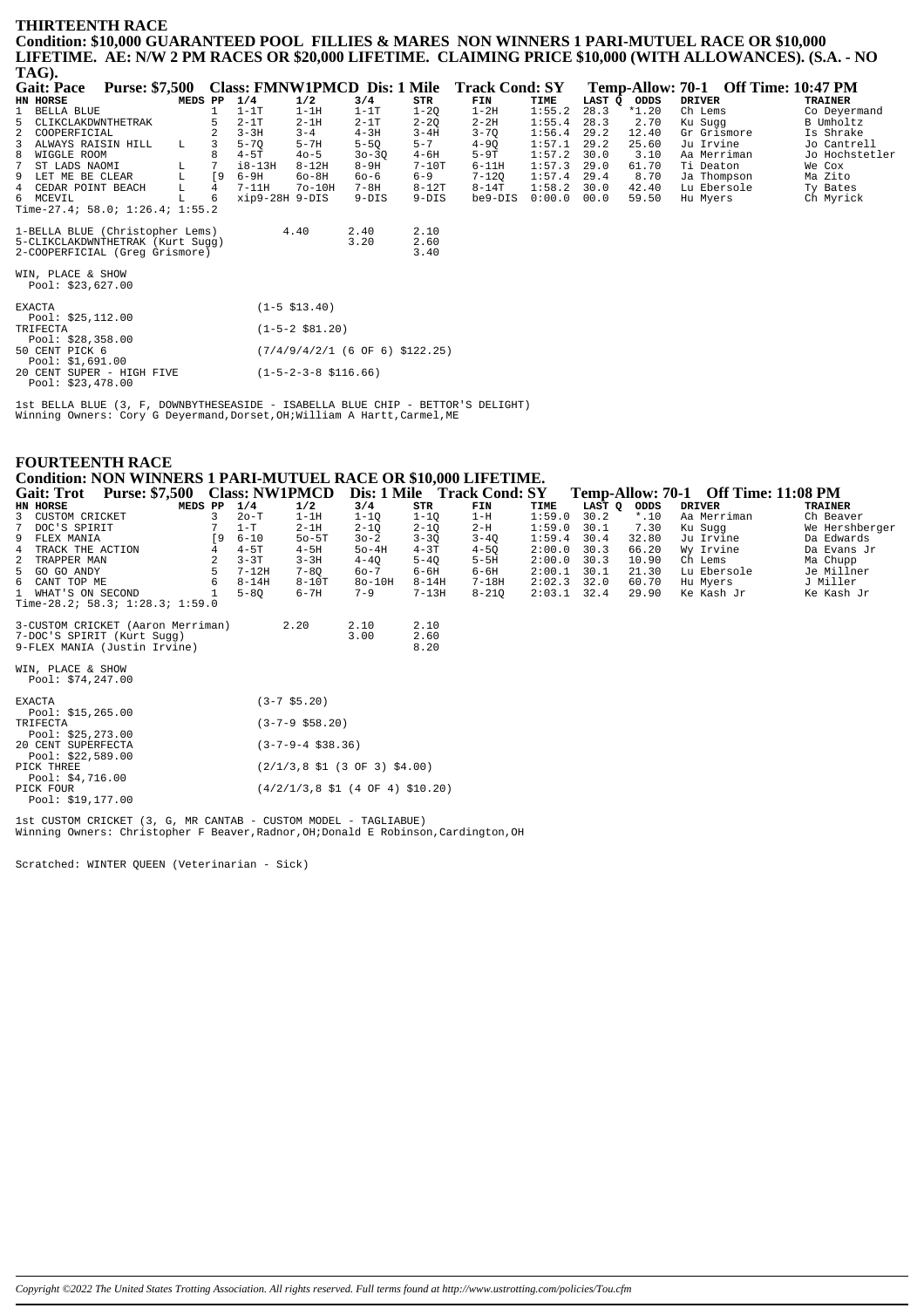#### **THIRTEENTH RACE** Condition: \$10,000 GUARANTEED POOL FILLIES & MARES NON WINNERS 1 PARI-MUTUEL RACE OR \$10,000 LIFETIME. AE: N/W 2 PM RACES OR \$20,000 LIFETIME. CLAIMING PRICE \$10,000 (WITH ALLOWANCES). (S.A. - NO  $TAG$

| 11100                                          |             |                |                |                                 |                                   |          |                                             |        |        |         |                                     |                |
|------------------------------------------------|-------------|----------------|----------------|---------------------------------|-----------------------------------|----------|---------------------------------------------|--------|--------|---------|-------------------------------------|----------------|
| <b>Gait: Pace</b><br><b>Purse: \$7,500</b>     |             |                |                |                                 |                                   |          | Class: FMNW1PMCD Dis: 1 Mile Track Cond: SY |        |        |         | Temp-Allow: 70-1 Off Time: 10:47 PM |                |
| HN HORSE                                       | MEDS PP     |                | 1/4            | 1/2                             | 3/4                               | STR      | FIN                                         | TIME   | LAST Q | ODDS    | <b>DRIVER</b>                       | <b>TRAINER</b> |
| $\mathbf{1}$<br>BELLA BLUE                     |             |                | $1-1T$         | $1 - 1H$                        | $1-1T$                            | $1 - 2Q$ | $1-2H$                                      | 1:55.2 | 28.3   | $*1.20$ | Ch Lems                             | Co Deyermand   |
| 5<br>CLIKCLAKDWNTHETRAK                        |             |                | $2-1T$         | $2-1H$                          | $2-1T$                            | $2 - 2Q$ | $2 - 2H$                                    | 1:55.4 | 28.3   | 2.70    | Ku Sugg                             | B Umholtz      |
| $\overline{a}$<br>COOPERFICIAL                 |             |                | $3 - 3H$       | $3 - 4$                         | $4 - 3H$                          | $3 - 4H$ | $3 - 70$                                    | 1:56.4 | 29.2   | 12.40   | Gr Grismore                         | Is Shrake      |
| ALWAYS RAISIN HILL<br>3                        | L.          |                | $5 - 70$       | $5 - 7H$                        | $5 - 5Q$                          | $5 - 7$  | $4 - 9Q$                                    | 1:57.1 | 29.2   | 25.60   | Ju Irvine                           | Jo Cantrell    |
| 8<br>WIGGLE ROOM                               |             |                | $4-5T$         | $40 - 5$                        | $30 - 30$                         | $4 - 6H$ | $5-9T$                                      | 1:57.2 | 30.0   | 3.10    | Aa Merriman                         | Jo Hochstetler |
| $7\phantom{.0}$<br>ST LADS NAOMI               | L           |                | $i8-13H$       | $8 - 12H$                       | $8-9H$                            | $7-10T$  | $6-11H$                                     | 1:57.3 | 29.0   | 61.70   | Ti Deaton                           | We Cox         |
| 9 LET ME BE CLEAR                              | $\mathbb L$ | [9             | 6-9H           | $60 - 8H$                       | $60 - 6$                          | $6 - 9$  | $7 - 12Q$                                   | 1:57.4 | 29.4   | 8.70    | Ja Thompson                         | Ma Zito        |
| 4 CEDAR POINT BEACH                            | L           | $\overline{4}$ | $7-11H$        | $7o-10H$                        | $7 - 8H$                          | $8-12T$  | $8-14T$                                     | 1:58.2 | 30.0   | 42.40   | Lu Ebersole                         | Ty Bates       |
| 6 MCEVIL                                       | L           |                | xip9-28H 9-DIS |                                 | $9-DIS$                           | $9-DIS$  | be9-DIS                                     | 0:00.0 | 00.0   | 59.50   | Hu Myers                            | Ch Myrick      |
| Time-27.4; 58.0; $1:26.4$ ; $1:55.2$           |             |                |                |                                 |                                   |          |                                             |        |        |         |                                     |                |
| 1-BELLA BLUE (Christopher Lems)                |             |                |                | 4.40                            | 2.40                              | 2.10     |                                             |        |        |         |                                     |                |
| 5-CLIKCLAKDWNTHETRAK (Kurt Sugg)               |             |                |                |                                 | 3.20                              | 2.60     |                                             |        |        |         |                                     |                |
| 2-COOPERFICIAL (Greq Grismore)                 |             |                |                |                                 |                                   | 3.40     |                                             |        |        |         |                                     |                |
| WIN, PLACE & SHOW<br>Pool: \$23,627.00         |             |                |                |                                 |                                   |          |                                             |        |        |         |                                     |                |
| <b>EXACTA</b><br>Pool: $$25,112.00$            |             |                |                | $(1-5 \; $13.40)$               |                                   |          |                                             |        |        |         |                                     |                |
| TRIFECTA<br>Pool: $$28,358.00$                 |             |                |                | $(1-5-2$ \$81.20)               |                                   |          |                                             |        |        |         |                                     |                |
| 50 CENT PICK 6<br>Pool: \$1,691.00             |             |                |                |                                 | $(7/4/9/4/2/1$ (6 OF 6) \$122.25) |          |                                             |        |        |         |                                     |                |
| 20 CENT SUPER - HIGH FIVE<br>Pool: \$23,478.00 |             |                |                | $(1-5-2-3-8 \; \text{S116.66})$ |                                   |          |                                             |        |        |         |                                     |                |

Ist BELLA BLUE (3, F, DOWNBYTHESEASIDE - ISABELLA BLUE CHIP - BETTOR'S DELIGHT)<br>Winning Owners: Cory G Deyermand, Dorset, OH; William A Hartt, Carmel, ME

# **FOURTEENTH RACE** Condition: NON WINNERS 1 PARI-MUTUEL RACE OR \$10,000 LIFETIME.

| Condition: NON WENTHAM TERM MOTOBE MACE ON \$10,000 BILETIME. |           |           |                       |                                                                       |           |                            |        |        |         |                                     |                |
|---------------------------------------------------------------|-----------|-----------|-----------------------|-----------------------------------------------------------------------|-----------|----------------------------|--------|--------|---------|-------------------------------------|----------------|
| Purse: \$7,500 Class: NW1PMCD<br><b>Gait: Trot</b>            |           |           |                       |                                                                       |           | Dis: 1 Mile Track Cond: SY |        |        |         | Temp-Allow: 70-1 Off Time: 11:08 PM |                |
| HN HORSE<br>MEDS PP                                           |           | 1/4       | 1/2                   | 3/4                                                                   | STR       | FIN                        | TIME   | LAST Q | ODDS    | <b>DRIVER</b>                       | <b>TRAINER</b> |
| 3 CUSTOM CRICKET                                              | 3         | $2o-T$    | $1-1H$                | $1-1Q$                                                                | $1-1Q$    | $1-H$                      | 1:59.0 | 30.2   | $*$ .10 | Aa Merriman                         | Ch Beaver      |
| $7\overline{ }$<br>DOC'S SPIRIT                               |           | $1-T$     | $2-1H$                | $2 - 1Q$                                                              | $2 - 1Q$  | $2-H$                      | 1:59.0 | 30.1   | 7.30    | Ku Sugg                             | We Hershberger |
| 9 FLEX MANIA                                                  | <b>19</b> | $6 - 10$  | $50 - 5T$             | $30 - 2$                                                              | $3 - 30$  | $3 - 4Q$                   | 1:59.4 | 30.4   | 32.80   | Ju Irvine                           | Da Edwards     |
| $4\overline{ }$<br>TRACK THE ACTION                           |           | $4-5T$    | $4-5H$                | $50-4H$                                                               | $4 - 3T$  | $4 - 5Q$                   | 2:00.0 | 30.3   | 66.20   | Wy Irvine                           | Da Evans Jr    |
| $\overline{a}$<br>TRAPPER MAN                                 |           | $3 - 3T$  | $3 - 3H$              | $4 - 4Q$                                                              | $5 - 4Q$  | $5-5H$                     | 2:00.0 | 30.3   | 10.90   | Ch Lems                             | Ma Chupp       |
| 5 GO GO ANDY                                                  |           | $7-12H$   | $7 - 80$              | $60 - 7$                                                              | $6 - 6H$  | $6 - 6H$                   | 2:00.1 | 30.1   | 21.30   | Lu Ebersole                         | Je Millner     |
| 6 CANT TOP ME                                                 |           | $8 - 14H$ | $8-10T$               | $80-10H$                                                              | $8 - 14H$ | 7-18H                      | 2:02.3 | 32.0   | 60.70   | Hu Myers                            | J Miller       |
| 1 WHAT'S ON SECOND                                            |           | $5 - 80$  | $6 - 7H$              | $7 - 9$                                                               | $7-13H$   | $8 - 21Q$                  | 2:03.1 | 32.4   | 29.90   | Ke Kash Jr                          | Ke Kash Jr     |
| Time-28.2; 58.3; $1:28.3$ ; $1:59.0$                          |           |           |                       |                                                                       |           |                            |        |        |         |                                     |                |
| 3-CUSTOM CRICKET (Aaron Merriman)                             |           |           | 2.20                  | 2.10                                                                  | 2.10      |                            |        |        |         |                                     |                |
| 7-DOC'S SPIRIT (Kurt Sugg)                                    |           |           |                       | 3.00                                                                  | 2.60      |                            |        |        |         |                                     |                |
| 9-FLEX MANIA (Justin Irvine)                                  |           |           |                       |                                                                       | 8.20      |                            |        |        |         |                                     |                |
| WIN, PLACE & SHOW                                             |           |           |                       |                                                                       |           |                            |        |        |         |                                     |                |
| Pool: $$74,247.00$                                            |           |           |                       |                                                                       |           |                            |        |        |         |                                     |                |
| <b>EXACTA</b>                                                 |           |           | $(3-7$ \$5.20)        |                                                                       |           |                            |        |        |         |                                     |                |
| Pool: $$15,265.00$                                            |           |           |                       |                                                                       |           |                            |        |        |         |                                     |                |
| TRIFECTA                                                      |           |           | $(3-7-9$ \$58.20)     |                                                                       |           |                            |        |        |         |                                     |                |
| Pool: $$25, 273.00$                                           |           |           |                       |                                                                       |           |                            |        |        |         |                                     |                |
| 20 CENT SUPERFECTA                                            |           |           | $(3-7-9-4 \; $38.36)$ |                                                                       |           |                            |        |        |         |                                     |                |
| Pool: $$22,589.00$                                            |           |           |                       |                                                                       |           |                            |        |        |         |                                     |                |
| PICK THREE                                                    |           |           |                       | $(2/1/3, 8 \; \text{S1} \; (3 \; \text{OF} \; 3) \; \text{S4.00})$    |           |                            |        |        |         |                                     |                |
| Pool: $$4,716.00$                                             |           |           |                       |                                                                       |           |                            |        |        |         |                                     |                |
| PICK FOUR                                                     |           |           |                       | $(4/2/1/3, 8 \; \text{S1} \; (4 \; \text{OF} \; 4) \; \text{S10.20})$ |           |                            |        |        |         |                                     |                |
| Pool: \$19,177.00                                             |           |           |                       |                                                                       |           |                            |        |        |         |                                     |                |

1st CUSTOM CRICKET (3, G, MR CANTAB - CUSTOM MODEL - TAGLIABUE)<br>Winning Owners: Christopher F Beaver, Radnor, OH; Donald E Robinson, Cardington, OH

Scratched: WINTER OUEEN (Veterinarian - Sick)